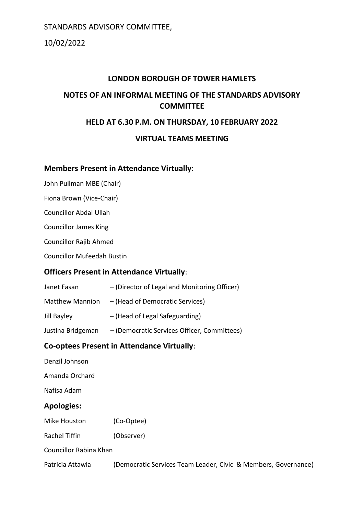10/02/2022

# **LONDON BOROUGH OF TOWER HAMLETS NOTES OF AN INFORMAL MEETING OF THE STANDARDS ADVISORY COMMITTEE**

### **HELD AT 6.30 P.M. ON THURSDAY, 10 FEBRUARY 2022**

### **VIRTUAL TEAMS MEETING**

### **Members Present in Attendance Virtually**:

John Pullman MBE (Chair)

Fiona Brown (Vice-Chair)

Councillor Abdal Ullah

Councillor James King

Councillor Rajib Ahmed

Councillor Mufeedah Bustin

### **Officers Present in Attendance Virtually**:

Janet Fasan – (Director of Legal and Monitoring Officer) Matthew Mannion – (Head of Democratic Services) Jill Bayley – (Head of Legal Safeguarding) Justina Bridgeman – (Democratic Services Officer, Committees)

# **Co-optees Present in Attendance Virtually**:

| Denzil Johnson         |                                                                |
|------------------------|----------------------------------------------------------------|
| Amanda Orchard         |                                                                |
| Nafisa Adam            |                                                                |
| <b>Apologies:</b>      |                                                                |
| Mike Houston           | (Co-Optee)                                                     |
| Rachel Tiffin          | (Observer)                                                     |
| Councillor Rabina Khan |                                                                |
| Patricia Attawia       | (Democratic Services Team Leader, Civic & Members, Governance) |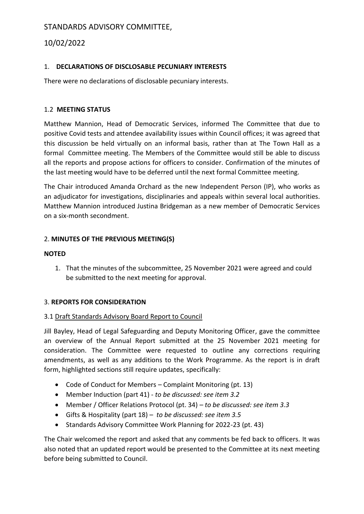# 10/02/2022

### 1. **DECLARATIONS OF DISCLOSABLE PECUNIARY INTERESTS**

There were no declarations of disclosable pecuniary interests.

### 1.2 **MEETING STATUS**

Matthew Mannion, Head of Democratic Services, informed The Committee that due to positive Covid tests and attendee availability issues within Council offices; it was agreed that this discussion be held virtually on an informal basis, rather than at The Town Hall as a formal Committee meeting. The Members of the Committee would still be able to discuss all the reports and propose actions for officers to consider. Confirmation of the minutes of the last meeting would have to be deferred until the next formal Committee meeting.

The Chair introduced Amanda Orchard as the new Independent Person (IP), who works as an adjudicator for investigations, disciplinaries and appeals within several local authorities. Matthew Mannion introduced Justina Bridgeman as a new member of Democratic Services on a six-month secondment.

### 2. **MINUTES OF THE PREVIOUS MEETING(S)**

### **NOTED**

1. That the minutes of the subcommittee, 25 November 2021 were agreed and could be submitted to the next meeting for approval.

### 3. **REPORTS FOR CONSIDERATION**

### 3.1 Draft Standards Advisory Board Report to Council

Jill Bayley, Head of Legal Safeguarding and Deputy Monitoring Officer, gave the committee an overview of the Annual Report submitted at the 25 November 2021 meeting for consideration. The Committee were requested to outline any corrections requiring amendments, as well as any additions to the Work Programme. As the report is in draft form, highlighted sections still require updates, specifically:

- Code of Conduct for Members Complaint Monitoring (pt. 13)
- Member Induction (part 41) *to be discussed: see item 3.2*
- Member / Officer Relations Protocol (pt. 34) *– to be discussed: see item 3.3*
- Gifts & Hospitality (part 18) *to be discussed: see item 3.5*
- Standards Advisory Committee Work Planning for 2022-23 (pt. 43)

The Chair welcomed the report and asked that any comments be fed back to officers. It was also noted that an updated report would be presented to the Committee at its next meeting before being submitted to Council.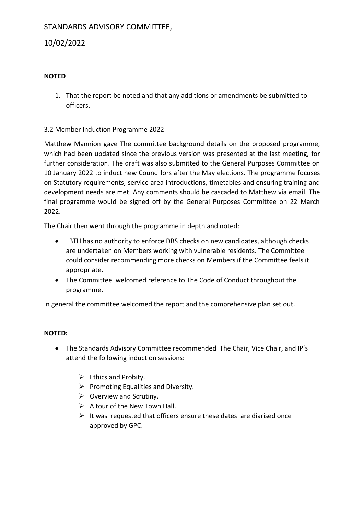### 10/02/2022

#### **NOTED**

1. That the report be noted and that any additions or amendments be submitted to officers.

#### 3.2 Member Induction Programme 2022

Matthew Mannion gave The committee background details on the proposed programme, which had been updated since the previous version was presented at the last meeting, for further consideration. The draft was also submitted to the General Purposes Committee on 10 January 2022 to induct new Councillors after the May elections. The programme focuses on Statutory requirements, service area introductions, timetables and ensuring training and development needs are met. Any comments should be cascaded to Matthew via email. The final programme would be signed off by the General Purposes Committee on 22 March 2022.

The Chair then went through the programme in depth and noted:

- LBTH has no authority to enforce DBS checks on new candidates, although checks are undertaken on Members working with vulnerable residents. The Committee could consider recommending more checks on Members if the Committee feels it appropriate.
- The Committee welcomed reference to The Code of Conduct throughout the programme.

In general the committee welcomed the report and the comprehensive plan set out.

#### **NOTED:**

- The Standards Advisory Committee recommended The Chair, Vice Chair, and IP's attend the following induction sessions:
	- $\triangleright$  Ethics and Probity.
	- $\triangleright$  Promoting Equalities and Diversity.
	- $\triangleright$  Overview and Scrutiny.
	- $\triangleright$  A tour of the New Town Hall.
	- $\triangleright$  It was requested that officers ensure these dates are diarised once approved by GPC.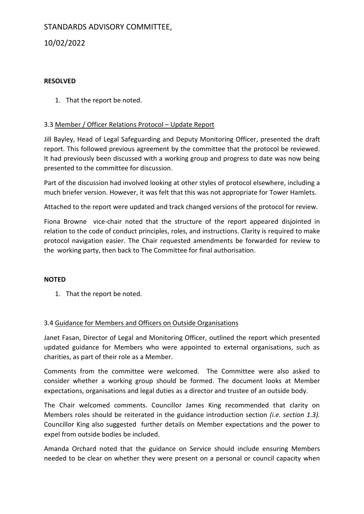# 10/02/2022

### **RESOLVED**

1. That the report be noted.

#### 3.3 Member / Officer Relations Protocol – Update Report

Jill Bayley, Head of Legal Safeguarding and Deputy Monitoring Officer, presented the draft report. This followed previous agreement by the committee that the protocol be reviewed. It had previously been discussed with a working group and progress to date was now being presented to the committee for discussion.

Part of the discussion had involved looking at other styles of protocol elsewhere, including a much briefer version. However, it was felt that this was not appropriate for Tower Hamlets.

Attached to the report were updated and track changed versions of the protocol for review.

Fiona Browne vice-chair noted that the structure of the report appeared disjointed in relation to the code of conduct principles, roles, and instructions. Clarity is required to make protocol navigation easier. The Chair requested amendments be forwarded for review to the working party, then back to The Committee for final authorisation.

#### **NOTED**

1. That the report be noted.

#### 3.4 Guidance for Members and Officers on Outside Organisations

Janet Fasan, Director of Legal and Monitoring Officer, outlined the report which presented updated guidance for Members who were appointed to external organisations, such as charities, as part of their role as a Member.

Comments from the committee were welcomed. The Committee were also asked to consider whether a working group should be formed. The document looks at Member expectations, organisations and legal duties as a director and trustee of an outside body.

The Chair welcomed comments. Councillor James King recommended that clarity on Members roles should be reiterated in the guidance introduction section *(i.e. section 1.3).* Councillor King also suggested further details on Member expectations and the power to expel from outside bodies be included.

Amanda Orchard noted that the guidance on Service should include ensuring Members needed to be clear on whether they were present on a personal or council capacity when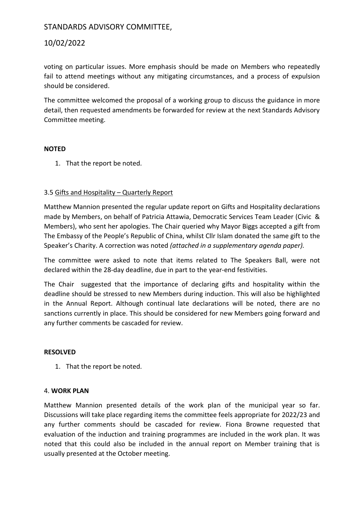### 10/02/2022

voting on particular issues. More emphasis should be made on Members who repeatedly fail to attend meetings without any mitigating circumstances, and a process of expulsion should be considered.

The committee welcomed the proposal of a working group to discuss the guidance in more detail, then requested amendments be forwarded for review at the next Standards Advisory Committee meeting.

#### **NOTED**

1. That the report be noted.

### 3.5 Gifts and Hospitality – Quarterly Report

Matthew Mannion presented the regular update report on Gifts and Hospitality declarations made by Members, on behalf of Patricia Attawia, Democratic Services Team Leader (Civic & Members), who sent her apologies. The Chair queried why Mayor Biggs accepted a gift from The Embassy of the People's Republic of China, whilst Cllr Islam donated the same gift to the Speaker's Charity. A correction was noted *(attached in a supplementary agenda paper).*

The committee were asked to note that items related to The Speakers Ball, were not declared within the 28-day deadline, due in part to the year-end festivities.

The Chair suggested that the importance of declaring gifts and hospitality within the deadline should be stressed to new Members during induction. This will also be highlighted in the Annual Report. Although continual late declarations will be noted, there are no sanctions currently in place. This should be considered for new Members going forward and any further comments be cascaded for review.

#### **RESOLVED**

1. That the report be noted.

#### 4. **WORK PLAN**

Matthew Mannion presented details of the work plan of the municipal year so far. Discussions will take place regarding items the committee feels appropriate for 2022/23 and any further comments should be cascaded for review. Fiona Browne requested that evaluation of the induction and training programmes are included in the work plan. It was noted that this could also be included in the annual report on Member training that is usually presented at the October meeting.